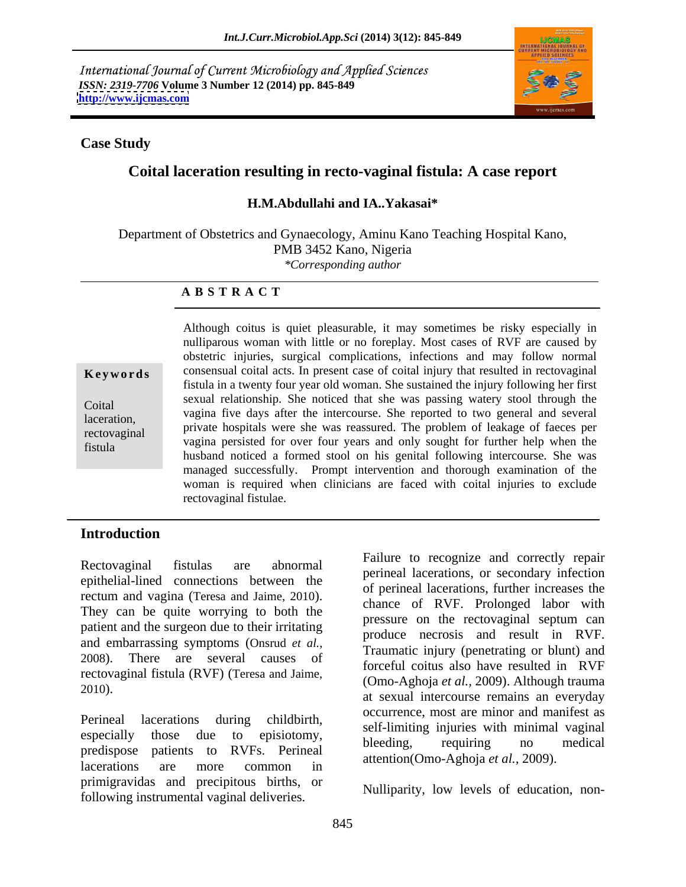International Journal of Current Microbiology and Applied Sciences *ISSN: 2319-7706* **Volume 3 Number 12 (2014) pp. 845-849 <http://www.ijcmas.com>**



## **Case Study**

# **Coital laceration resulting in recto-vaginal fistula: A case report**

## **H.M.Abdullahi and IA..Yakasai\***

Department of Obstetrics and Gynaecology, Aminu Kano Teaching Hospital Kano, PMB 3452 Kano, Nigeria *\*Corresponding author* 

## **A B S T R A C T**

**Keywords** consensual coital acts. In present case of coital injury that resulted in rectovaginal Coital vagina five days after the intercourse. She reported to two general and several laceration,<br>
private hospitals were she was reassured. The problem of leakage of faeces per rectovaginal private hospitals were she was reassured. The problem of leakage of factus per<br>Figure fistula husband noticed a formed stool on his genital following intercourse. She was Although coitus is quiet pleasurable, it may sometimes be risky especially in nulliparous woman with little or no foreplay. Most cases of RVF are caused by obstetric injuries, surgical complications, infections and may follow normal fistula in a twenty four year old woman. She sustained the injury following her first sexual relationship. She noticed that she was passing watery stool through the managed successfully. Prompt intervention and thorough examination of the woman is required when clinicians are faced with coital injuries to exclude rectovaginal fistulae.

# **Introduction**

epithelial-lined connections between the patient and the surgeon due to their irritating and embarrassing symptoms (Onsrud *et al.,* 2008). There are several causes of rectovaginal fistula (RVF) (Teresa and Jaime,

predispose patients to RVFs. Perineal beeding, requiring no medical lacerations are more common in  $\alpha$  alternation (Ono-Agno)a  $\epsilon \iota$  at  $\alpha$ , 2002). primigravidas and precipitous births, or following instrumental vaginal deliveries.

Rectovaginal fistulas are abnormal radius correctly repair<br>
perineal lacerations, or secondary infection rectum and vagina (Teresa and Jaime, 2010).<br>They can be quite worrying to both the measure on the restausairel sentime can 2010).  $\cos \theta$  and  $\cos \theta$  are sexual intercourse remains an everyday Perineal lacerations during childbirth,<br>self-limiting injuries with minimal vaginal<br>expectative those due to enjointenum especially those due to episiotomy, blooding manufacture is modified Failure to recognize and correctly repair of perineal lacerations, further increases the chance of RVF. Prolonged labor with pressure on the rectovaginal septum can produce necrosis and result in RVF. Traumatic injury (penetrating or blunt) and forceful coitus also have resulted in RVF (Omo-Aghoja *et al.,* 2009). Although trauma occurrence, most are minor and manifest as bleeding, requiring no medical attention(Omo-Aghoja *et al.,* 2009).

Nulliparity, low levels of education, non-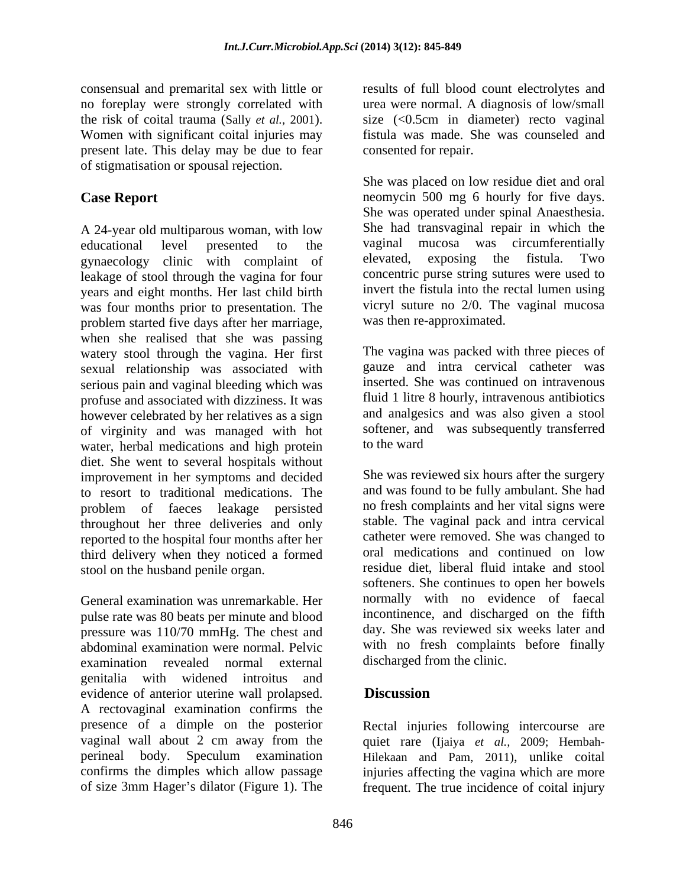no foreplay were strongly correlated with present late. This delay may be due to fear of stigmatisation or spousal rejection.

A 24-year old multiparous woman, with low She had transvaginal repair in which the educational level presented to the vaginal mucosa was circumferentially educational level presented to the vaginal mucosa was circumferentially gynaecology clinic with complaint of elevated, exposing the fistula. Two leakage of stool through the vagina for four years and eight months. Her last child birth was four months prior to presentation. The problem started five days after her marriage, when she realised that she was passing watery stool through the vagina. Her first sexual relationship was associated with serious pain and vaginal bleeding which was profuse and associated with dizziness. It was however celebrated by her relatives as a sign of virginity and was managed with hot softener, and water herbal medications and high protein to the ward water, herbal medications and high protein diet. She went to several hospitals without improvement in her symptoms and decided to resort to traditional medications. The problem of faeces leakage persisted throughout her three deliveries and only reported to the hospital four months after her third delivery when they noticed a formed stool on the husband penile organ.

General examination was unremarkable. Her pulse rate was 80 beats per minute and blood pressure was 110/70 mmHg. The chest and abdominal examination were normal. Pelvic examination revealed normal external discharged from the clinic. genitalia with widened introitus and evidence of anterior uterine wall prolapsed. <br>A rectovaginal examination confirms the presence of a dimple on the posterior Rectal injuries following intercourse are vaginal wall about 2 cm away from the quiet rare (Ijaiya *et al.,* 2009; Hembah perineal body. Speculum examination Hilekaan and Pam, 2011), unlike coital confirms the dimples which allow passage injuries affecting the vagina which are more

consensual and premarital sex with little or results of full blood count electrolytes and the risk of coital trauma (Sally *et al.*, 2001). Size (<0.5cm in diameter) recto vaginal Women with significant coital injuries may fistula was made. She was counseled and urea were normal. A diagnosis of low/small size (<0.5cm in diameter) recto vaginal fistula was made. She was counseled and consented for repair.

**Case Report Case Report neomycin** 500 mg 6 hourly for five days. She was placed on low residue diet and oral She was operated under spinal Anaesthesia. She had transvaginal repair in which the vaginal mucosa was circumferentially elevated, exposing the fistula. Two concentric purse string sutures were used to invert the fistula into the rectal lumen using vicryl suture no 2/0. The vaginal mucosa was then re-approximated.

> The vagina was packed with three pieces of gauze and intra cervical catheter was inserted. She was continued on intravenous fluid 1 litre 8 hourly, intravenous antibiotics and analgesics and was also given a stool softener, and was subsequently transferred to the ward

She was reviewed six hours after the surgery and was found to be fully ambulant. She had no fresh complaints and her vital signs were stable. The vaginal pack and intra cervical catheter were removed. She was changed to oral medications and continued on low residue diet, liberal fluid intake and stool softeners. She continues to open her bowels normally with no evidence of faecal incontinence, and discharged on the fifth day. She was reviewed six weeks later and with no fresh complaints before finally discharged from the clinic.

# **Discussion**

of size 3mm Hager's dilator (Figure 1). The frequent. The true incidence of coital injury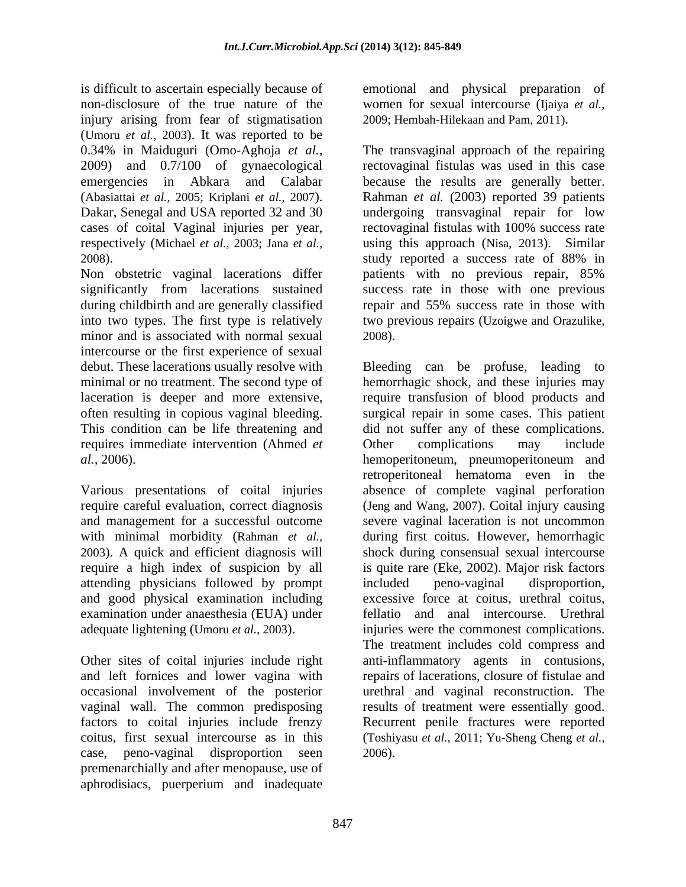is difficult to ascertain especially because of emotional and physical preparation of non-disclosure of the true nature of the women for sexual intercourse(Ijaiya *etal.,* injury arising from fear of stigmatisation (Umoru *et al.,* 2003). It was reported to be 2009) and 0.7/100 of gynaecological

Non obstetric vaginal lacerations differ bations with no previous repair, 85% during childbirth and are generally classified into two types. The first type is relatively two previous repairs (Uzoigwe and Orazulike, minor and is associated with normal sexual 2008). intercourse or the first experience of sexual debut. These lacerations usually resolve with Bleeding can be profuse, leading to requires immediate intervention (Ahmed *et* 

attending physicians followed by prompt

Other sites of coital injuries include right occasional involvement of the posterior vaginal wall. The common predisposing results of treatment were essentially good. factors to coital injuries include frenzy Recurrent penile fractures were reported case, peno-vaginal disproportion seen premenarchially and after menopause, use of aphrodisiacs, puerperium and inadequate

2009; Hembah-Hilekaan and Pam, 2011).

0.34% in Maiduguri (Omo-Aghoja *et al.,* The transvaginal approach of the repairing emergencies in Abkara and Calabar because the results are generally better. (Abasiattai *et al.,* 2005; Kriplani *et al.,* 2007). <br>Dakar, Senegal and USA reported 32 and 30 undergoing transvaginal repair for low cases of coital Vaginal injuries per year, rectovaginal fistulas with 100% success rate respectively (Michael *et al.,* 2003; Jana *et al.,* using this approach (Nisa, 2013). Similar 2008). study reported a success rate of 88% in significantly from lacerations sustained success rate in those with one previous rectovaginal fistulas was used in this case Rahman *et al.* (2003) reported 39 patients undergoing transvaginal repair for low patients with no previous repair, 85% repair and 55% success rate in those with two previous repairs (Uzoigwe and Orazulike, 2008). Bleeding can be profuse, leading to

minimal or no treatment. The second type of hemorrhagic shock, and these injuries may laceration is deeper and more extensive, require transfusion of blood products and often resulting in copious vaginal bleeding. Surgical repair in some cases. This patient This condition can be life threatening and did not suffer any of these complications. *al.*, 2006). <br> **Action** hemoperitoneum, pneumoperitoneum and<br> **Various presentations of coital injuries** absence of complete vaginal perforation require careful evaluation, correct diagnosis (Jeng and Wang, 2007). Coital injury causing and management for a successful outcome severe vaginal laceration is not uncommon with minimal morbidity (Rahman *et al.,* during first coitus. However, hemorrhagic 2003). A quick and efficient diagnosis will shock during consensual sexual intercourse require a high index of suspicion by all is quite rare(Eke, 2002). Major risk factors and good physical examination including excessive force at coitus, urethral coitus, examination under anaesthesia (EUA) under fellatio and anal intercourse. Urethral adequate lightening (Umoru *et al.*, 2003). injuries were the commonest complications. and left fornices and lower vagina with repairs of lacerations, closure of fistulae and coitus, first sexual intercourse as in this (Toshiyasu *et al.,* 2011; Yu-Sheng Cheng *et al.,* Other complications may include hemoperitoneum, pneumoperitoneum and retroperitoneal hematoma even in the absence of complete vaginal perforation included peno-vaginal disproportion, The treatment includes cold compress and anti-inflammatory agents in contusions, urethral and vaginal reconstruction. The results of treatment were essentially good.<br>Recurrent penile fractures were reported 2006).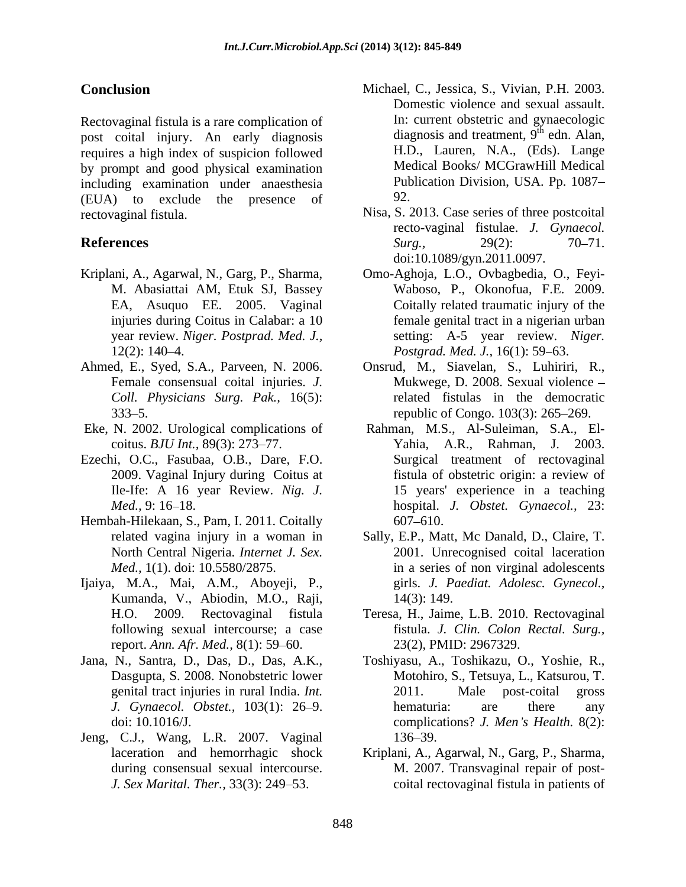Rectovaginal fistula is a rare complication of post coital injury. An early diagnosis requires a high index of suspicion followed by prompt and good physical examination including examination under anaesthesia Pub<br>(EUA) to exclude the presence of 92. (EUA) to exclude the presence of rectovaginal fistula. Nisa, S. 2013. Case series of three postcoital

- 
- *Coll. Physicians Surg. Pak.,* 16(5):
- Eke, N. 2002. Urological complications of
- 
- Hembah-Hilekaan, S., Pam, I. 2011. Coitally
- Ijaiya, M.A., Mai, A.M., Aboyeji, P., Kumanda, V., Abiodin, M.O., Raji, following sexual intercourse; a case report. *Ann. Afr. Med.*, 8(1): 59–60.
- 
- Jeng, C.J., Wang, L.R. 2007. Vaginal
- **Conclusion** Michael, C., Jessica, S., Vivian, P.H. 2003. Domestic violence and sexual assault. In: current obstetric and gynaecologic diagnosis and treatment,  $9<sup>th</sup>$  edn. Alan,  $\frac{\text{th}}{\text{cdn}}$   $\lambda$  len edn. Alan, H.D., Lauren, N.A., (Eds). Lange Medical Books/ MCGrawHill Medical Publication Division, USA. Pp. 1087 92.
- **References** Surg., 29(2): 70–71. recto-vaginal fistulae. *J. Gynaecol. Surg.,* 29(2): 70–71. doi:10.1089/gyn.2011.0097.
- Kriplani, A., Agarwal, N., Garg, P., Sharma, Omo-Aghoja, L.O., Ovbagbedia, O., Feyi- M. Abasiattai AM, Etuk SJ, Bassey Waboso, P., Okonofua, F.E. 2009. EA, Asuquo EE. 2005. Vaginal Coitally related traumatic injury of the injuries during Coitus in Calabar: a 10 female genital tract in a nigerian urban year review. *Niger. Postprad. Med. J.*, setting: A-5 year review. *Niger.* 12(2): 140 4. *Postgrad. Med. J.,* 16(1): 59 63.
- Ahmed, E., Syed, S.A., Parveen, N. 2006. Onsrud, M., Siavelan, S., Luhiriri, R., Female consensual coital injuries. *J*. Mukwege, D. 2008. Sexual violence – 333 5. republic of Congo. 103(3): 265 269. related fistulas in the democratic
- coitus. *BJU Int.,* 89(3): 273 77. Yahia, A.R., Rahman, J. 2003. Ezechi, O.C., Fasubaa, O.B., Dare, F.O. 2009. Vaginal Injury during Coitus at Ile-Ife: A 16 year Review. *Nig. J.* 15 years' experience in a teaching *Med.,* 9: 16 18. hospital. *J. Obstet. Gynaecol.,* 23: Rahman, M.S., Al-Suleiman, S.A., El- Surgical treatment of rectovaginal fistula of obstetric origin: a review of 607 610.
	- related vagina injury in a woman in Sally, E.P., Matt, Mc Danald, D., Claire, T. North Central Nigeria. *Internet J. Sex.* 2001. Unrecognised coital laceration *Med.,* 1(1). doi: 10.5580/2875. in a series of non virginal adolescents girls. *J. Paediat. Adolesc. Gynecol.,* 14(3): 149.
	- H.O. 2009. Rectovaginal fistula Teresa, H., Jaime, L.B. 2010. Rectovaginal fistula. *J. Clin. Colon Rectal. Surg.,* 23(2), PMID: 2967329.
- Jana, N., Santra, D., Das, D., Das, A.K., Dasgupta, S. 2008. Nonobstetric lower genital tract injuries in rural India. *Int. J. Gynaecol. Obstet.*, 103(1): 26–9. hematuria: are there any doi: 10.1016/J. complications? *J. Men s Health.* 8(2): Toshiyasu, A., Toshikazu, O., Yoshie, R., Motohiro, S., Tetsuya, L., Katsurou, T. 2011. Male post-coital gross hematuria: are there any 136–39.
	- laceration and hemorrhagic shock Kriplani, A., Agarwal, N., Garg, P., Sharma, during consensual sexual intercourse. M. 2007. Transvaginal repair of post-M. 2007. Transvaginal repair of post-*J. Sex Marital. Ther.,* 33(3): 249–53. coital rectovaginal fistula in patients of Kriplani, A., Agarwal, N., Garg, P., Sharma, M. 2007. Transvaginal repair of post-